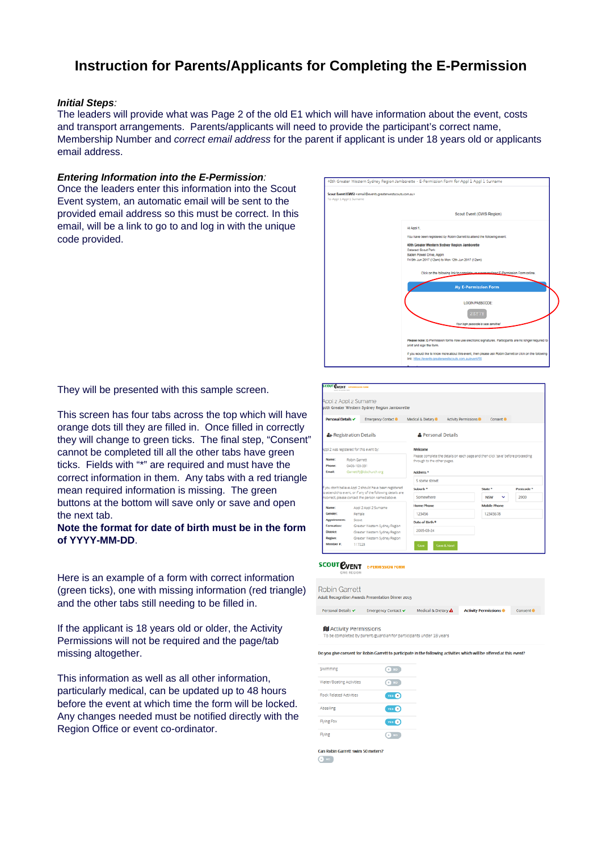# **Instruction for Parents/Applicants for Completing the E-Permission**

## *Initial Steps:*

The leaders will provide what was Page 2 of the old E1 which will have information about the event, costs and transport arrangements. Parents/applicants will need to provide the participant's correct name, Membership Number and *correct email address* for the parent if applicant is under 18 years old or applicants email address.

## *Entering Information into the E-Permission:*

Once the leaders enter this information into the Scout Event system, an automatic email will be sent to the provided email address so this must be correct. In this email, will be a link to go to and log in with the unique code provided.



They will be presented with this sample screen.

This screen has four tabs across the top which will have orange dots till they are filled in. Once filled in correctly they will change to green ticks. The final step, "Consent" cannot be completed till all the other tabs have green ticks. Fields with "\*" are required and must have the correct information in them. Any tabs with a red triangle mean required information is missing. The green buttons at the bottom will save only or save and open the next tab.

### **Note the format for date of birth must be in the form of YYYY-MM-DD**.

Here is an example of a form with correct information (green ticks), one with missing information (red triangle) and the other tabs still needing to be filled in.

If the applicant is 18 years old or older, the Activity Permissions will not be required and the page/tab missing altogether.

This information as well as all other information, particularly medical, can be updated up to 48 hours before the event at which time the form will be locked. Any changes needed must be notified directly with the Region Office or event co-ordinator.



#### **SCOUT EVENT E-PERMISSION FORM**

| <b>Robin Garrett</b>           | Adult Recognition Awards Presentation Dinner 2015 |                     |                             |                      |
|--------------------------------|---------------------------------------------------|---------------------|-----------------------------|----------------------|
| Personal Details ✔             | Emergency Contact ✔                               | Medical & Dietary A | <b>Activity Permissions</b> | Consent <sup>®</sup> |
| <b>Of</b> Activity Dermiccions |                                                   |                     |                             |                      |

To be completed by parent/guardian for participants under 18 years

Do you give consent for Robin Garrett to participate in the foll ing activities which will be offered at this e

| Swimming                          | <b>CON NO</b>      |
|-----------------------------------|--------------------|
| Water/Boating Activities          | $\bullet$ NO       |
| Rock Related Activities           | $res$ <sup>o</sup> |
| Abseiling                         | $res$ <sup>o</sup> |
| <b>Flying Fox</b>                 | n: 0               |
| Flying                            | $\bullet$ NO       |
| Can Robin Garrett swim 50 meters? |                    |

 $\odot$  NO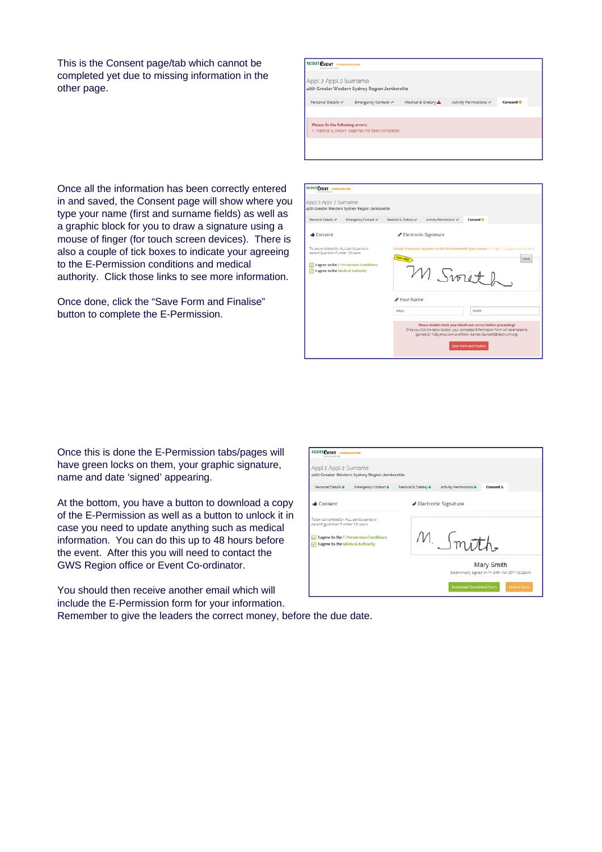This is the Consent page/tab which cannot be completed yet due to missing information in the other page.

| <b>SCOUT EVENT</b><br>E-PERMISSION FORM<br>CAVA, BY GALIN E BAP |                                                     |                     |                        |           |  |
|-----------------------------------------------------------------|-----------------------------------------------------|---------------------|------------------------|-----------|--|
| Appl 2 Appl 2 Surname                                           |                                                     |                     |                        |           |  |
|                                                                 | 40th Greater Western Sydney Region Jamborette       |                     |                        |           |  |
| Personal Details                                                | Emergency Contact ✔                                 | Medical & Dietary A | Activity Permissions v | Consent ® |  |
|                                                                 |                                                     |                     |                        |           |  |
| Please fix the following errors:                                |                                                     |                     |                        |           |  |
|                                                                 | 1. 'Medical & Dietary' page has not been completed. |                     |                        |           |  |
|                                                                 |                                                     |                     |                        |           |  |
|                                                                 |                                                     |                     |                        |           |  |

Once all the information has been correctly entered in and saved, the Consent page will show where you type your name (first and surname fields) as well as a graphic block for you to draw a signature using a mouse of finger (for touch screen devices). There is also a couple of tick boxes to indicate your agreeing to the E-Permission conditions and medical authority. Click those links to see more information.

Once done, click the "Save Form and Finalise" button to complete the E-Permission.

| <b>SCOUT EVENT ENTIRES ON TOWE</b>                                                                                                                               |                                                                                                                                                                                                                                                                                          |                      |                |  |  |
|------------------------------------------------------------------------------------------------------------------------------------------------------------------|------------------------------------------------------------------------------------------------------------------------------------------------------------------------------------------------------------------------------------------------------------------------------------------|----------------------|----------------|--|--|
| Appl 2 Appl 2 Surname<br>40th Greater Western Sydney Region Jamborette                                                                                           |                                                                                                                                                                                                                                                                                          |                      |                |  |  |
| Personal Details<br>Emergency Contact                                                                                                                            | Medical & Dietary                                                                                                                                                                                                                                                                        | Activity Permissions | <b>Consent</b> |  |  |
| <b>Consent</b>                                                                                                                                                   |                                                                                                                                                                                                                                                                                          | Electronic Signature |                |  |  |
| To be completed by ALL participants or<br>parent/guardian if under 18 years<br>I agree to the E-Permission Conditions<br>ы<br>7   agree to the Medical Authority | Simply draw your signature in the box below with your mouse (or finger if using a touch screen)<br><b>STON HEAD</b><br>Reset<br>M Swith                                                                                                                                                  |                      |                |  |  |
|                                                                                                                                                                  | Your Name<br>Smith<br>Mary<br>Please double check your details are correct before proceeding!<br>Once you click the below button, your completed E-Permission Form will be emailed to<br>(garrettri2118@vahoo.com) and Robin Garrett (GarrettRi@idschurch.org)<br>Save Form and Finalise |                      |                |  |  |

Once this is done the E-Permission tabs/pages will have green locks on them, your graphic signature, name and date 'signed' appearing.

At the bottom, you have a button to download a copy of the E-Permission as well as a button to unlock it in case you need to update anything such as medical information. You can do this up to 48 hours before the event. After this you will need to contact the GWS Region office or Event Co-ordinator.

You should then receive another email which will include the E-Permission form for your information.

| <b>SCOUT EVENT</b> LAUNISSION FORM                                                                                                                        |                      |                                |                                                                          |  |
|-----------------------------------------------------------------------------------------------------------------------------------------------------------|----------------------|--------------------------------|--------------------------------------------------------------------------|--|
| Appl 2 Appl 2 Surname<br>40th Greater Western Sydney Region Jamborette                                                                                    |                      |                                |                                                                          |  |
| Personal Details &<br><b>Emergency Contact &amp;</b>                                                                                                      | Medical & Dietary &  | <b>Activity Permissions</b>    | <b>Consent</b> <sup>®</sup>                                              |  |
| <b>Consent</b>                                                                                                                                            | Electronic Signature |                                |                                                                          |  |
| To be completed by ALL participants or<br>parent/guardian if under 18 years<br>I agree to the E-Permission Conditions<br>I agree to the Medical Authority |                      | M. Smoth.                      |                                                                          |  |
|                                                                                                                                                           |                      |                                | <b>Mary Smith</b><br>Electronically signed on Fri 24th Mar 2017 (8:22pm) |  |
|                                                                                                                                                           |                      | <b>Download Completed Form</b> | <b>Unlock Form</b>                                                       |  |

Remember to give the leaders the correct money, before the due date.